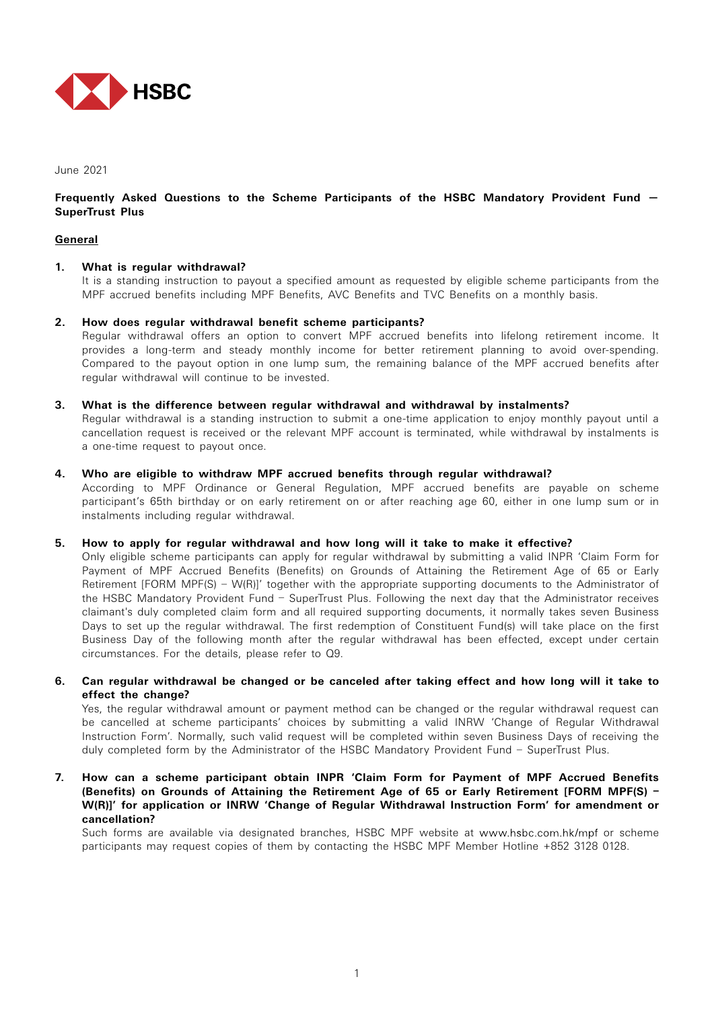

### June 2021

## **Frequently Asked Questions to the Scheme Participants of the HSBC Mandatory Provident Fund — SuperTrust Plus**

## **General**

# **1. What is regular withdrawal?**

It is a standing instruction to payout a specified amount as requested by eligible scheme participants from the MPF accrued benefits including MPF Benefits, AVC Benefits and TVC Benefits on a monthly basis.

### **2. How does regular withdrawal benefit scheme participants?**

Regular withdrawal offers an option to convert MPF accrued benefits into lifelong retirement income. It provides a long-term and steady monthly income for better retirement planning to avoid over-spending. Compared to the payout option in one lump sum, the remaining balance of the MPF accrued benefits after regular withdrawal will continue to be invested.

### **3. What is the difference between regular withdrawal and withdrawal by instalments?**

Regular withdrawal is a standing instruction to submit a one-time application to enjoy monthly payout until a cancellation request is received or the relevant MPF account is terminated, while withdrawal by instalments is a one-time request to payout once.

### **4. Who are eligible to withdraw MPF accrued benefits through regular withdrawal?**

According to MPF Ordinance or General Regulation, MPF accrued benefits are payable on scheme participant's 65th birthday or on early retirement on or after reaching age 60, either in one lump sum or in instalments including regular withdrawal.

### **5. How to apply for regular withdrawal and how long will it take to make it effective?**

Only eligible scheme participants can apply for regular withdrawal by submitting a valid INPR 'Claim Form for Payment of MPF Accrued Benefits (Benefits) on Grounds of Attaining the Retirement Age of 65 or Early Retirement [FORM MPF(S) – W(R)]' together with the appropriate supporting documents to the Administrator of the HSBC Mandatory Provident Fund – SuperTrust Plus. Following the next day that the Administrator receives claimant's duly completed claim form and all required supporting documents, it normally takes seven Business Days to set up the regular withdrawal. The first redemption of Constituent Fund(s) will take place on the first Business Day of the following month after the regular withdrawal has been effected, except under certain circumstances. For the details, please refer to Q9.

## **6. Can regular withdrawal be changed or be canceled after taking effect and how long will it take to effect the change?**

Yes, the regular withdrawal amount or payment method can be changed or the regular withdrawal request can be cancelled at scheme participants' choices by submitting a valid INRW 'Change of Regular Withdrawal Instruction Form'. Normally, such valid request will be completed within seven Business Days of receiving the duly completed form by the Administrator of the HSBC Mandatory Provident Fund – SuperTrust Plus.

**7. How can a scheme participant obtain INPR 'Claim Form for Payment of MPF Accrued Benefits (Benefits) on Grounds of Attaining the Retirement Age of 65 or Early Retirement [FORM MPF(S) – W(R)]' for application or INRW 'Change of Regular Withdrawal Instruction Form' for amendment or cancellation?**

Such forms are available via designated branches, HSBC MPF website at www.hsbc.com.hk/mpf or scheme participants may request copies of them by contacting the HSBC MPF Member Hotline +852 3128 0128.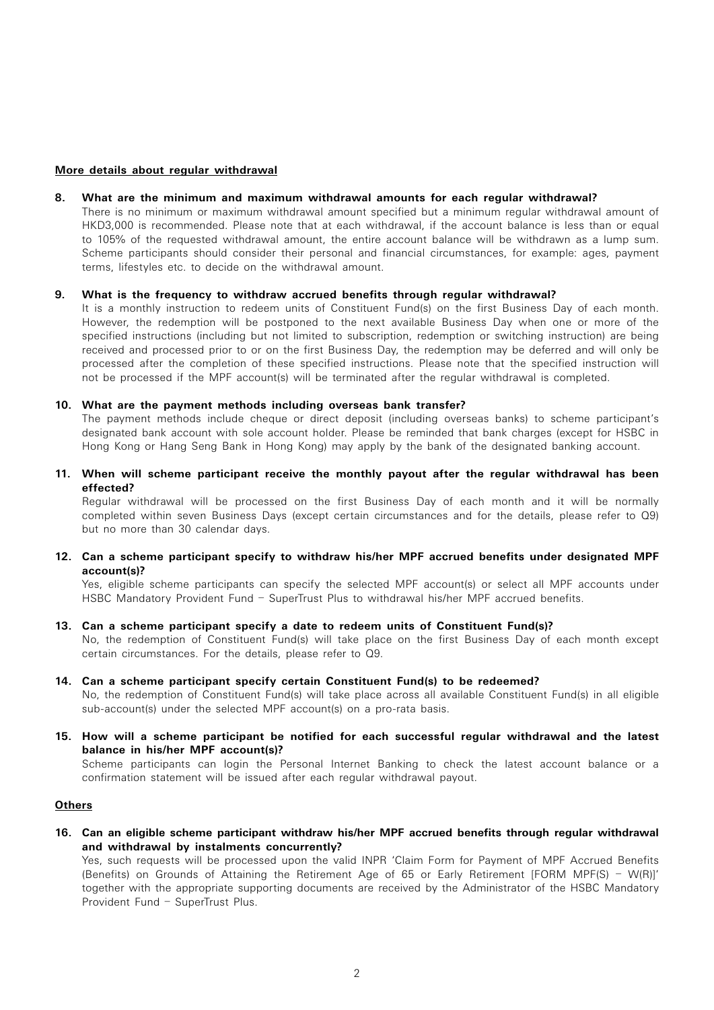### **More details about regular withdrawal**

#### **8. What are the minimum and maximum withdrawal amounts for each regular withdrawal?**

There is no minimum or maximum withdrawal amount specified but a minimum regular withdrawal amount of HKD3,000 is recommended. Please note that at each withdrawal, if the account balance is less than or equal to 105% of the requested withdrawal amount, the entire account balance will be withdrawn as a lump sum. Scheme participants should consider their personal and financial circumstances, for example: ages, payment terms, lifestyles etc. to decide on the withdrawal amount.

### **9. What is the frequency to withdraw accrued benefits through regular withdrawal?**

It is a monthly instruction to redeem units of Constituent Fund(s) on the first Business Day of each month. However, the redemption will be postponed to the next available Business Day when one or more of the specified instructions (including but not limited to subscription, redemption or switching instruction) are being received and processed prior to or on the first Business Day, the redemption may be deferred and will only be processed after the completion of these specified instructions. Please note that the specified instruction will not be processed if the MPF account(s) will be terminated after the regular withdrawal is completed.

#### **10. What are the payment methods including overseas bank transfer?**

The payment methods include cheque or direct deposit (including overseas banks) to scheme participant's designated bank account with sole account holder. Please be reminded that bank charges (except for HSBC in Hong Kong or Hang Seng Bank in Hong Kong) may apply by the bank of the designated banking account.

**11. When will scheme participant receive the monthly payout after the regular withdrawal has been effected?**

Regular withdrawal will be processed on the first Business Day of each month and it will be normally completed within seven Business Days (except certain circumstances and for the details, please refer to Q9) but no more than 30 calendar days.

**12. Can a scheme participant specify to withdraw his/her MPF accrued benefits under designated MPF account(s)?**

Yes, eligible scheme participants can specify the selected MPF account(s) or select all MPF accounts under HSBC Mandatory Provident Fund – SuperTrust Plus to withdrawal his/her MPF accrued benefits.

### **13. Can a scheme participant specify a date to redeem units of Constituent Fund(s)?**

No, the redemption of Constituent Fund(s) will take place on the first Business Day of each month except certain circumstances. For the details, please refer to Q9.

**14. Can a scheme participant specify certain Constituent Fund(s) to be redeemed?**

No, the redemption of Constituent Fund(s) will take place across all available Constituent Fund(s) in all eligible sub-account(s) under the selected MPF account(s) on a pro-rata basis.

**15. How will a scheme participant be notified for each successful regular withdrawal and the latest balance in his/her MPF account(s)?**

Scheme participants can login the Personal Internet Banking to check the latest account balance or a confirmation statement will be issued after each regular withdrawal payout.

### **Others**

**16. Can an eligible scheme participant withdraw his/her MPF accrued benefits through regular withdrawal and withdrawal by instalments concurrently?**

Yes, such requests will be processed upon the valid INPR 'Claim Form for Payment of MPF Accrued Benefits (Benefits) on Grounds of Attaining the Retirement Age of 65 or Early Retirement [FORM MPF(S) – W(R)]' together with the appropriate supporting documents are received by the Administrator of the HSBC Mandatory Provident Fund – SuperTrust Plus.